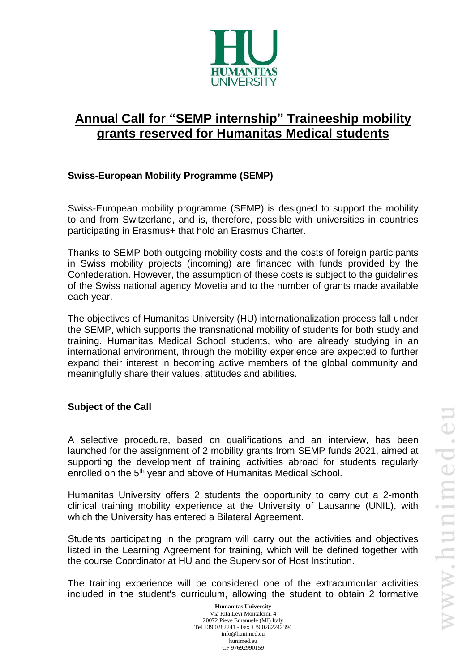

# **Annual Call for "SEMP internship" Traineeship mobility grants reserved for Humanitas Medical students**

## **Swiss-European Mobility Programme (SEMP)**

Swiss-European mobility programme (SEMP) is designed to support the mobility to and from Switzerland, and is, therefore, possible with universities in countries participating in Erasmus+ that hold an Erasmus Charter.

Thanks to SEMP both outgoing mobility costs and the costs of foreign participants in Swiss mobility projects (incoming) are financed with funds provided by the Confederation. However, the assumption of these costs is subject to the guidelines of the Swiss national agency Movetia and to the number of grants made available each year.

The objectives of Humanitas University (HU) internationalization process fall under the SEMP, which supports the transnational mobility of students for both study and training. Humanitas Medical School students, who are already studying in an international environment, through the mobility experience are expected to further expand their interest in becoming active members of the global community and meaningfully share their values, attitudes and abilities.

## **Subject of the Call**

A selective procedure, based on qualifications and an interview, has been launched for the assignment of 2 mobility grants from SEMP funds 2021, aimed at supporting the development of training activities abroad for students regularly enrolled on the 5<sup>th</sup> year and above of Humanitas Medical School.

Humanitas University offers 2 students the opportunity to carry out a 2-month clinical training mobility experience at the University of Lausanne (UNIL), with which the University has entered a Bilateral Agreement.

Students participating in the program will carry out the activities and objectives listed in the Learning Agreement for training, which will be defined together with the course Coordinator at HU and the Supervisor of Host Institution.

The training experience will be considered one of the extracurricular activities included in the student's curriculum, allowing the student to obtain 2 formative

> **Humanitas University** Via Rita Levi Montalcini, 4 20072 Pieve Emanuele (MI) Italy Tel +39 0282241 - Fax +39 0282242394 info@hunimed.eu hunimed.eu CF 97692990159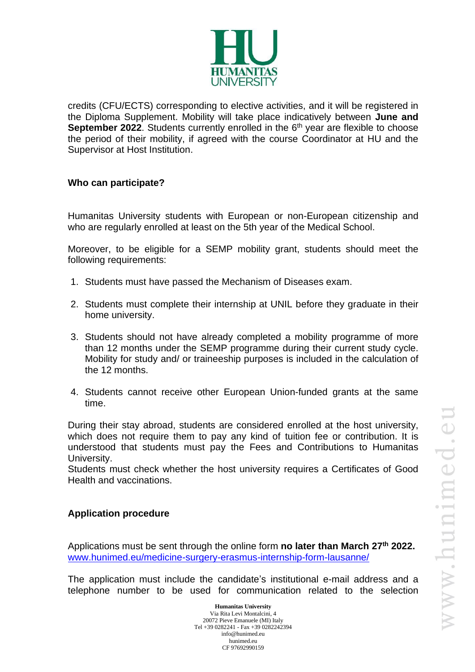

credits (CFU/ECTS) corresponding to elective activities, and it will be registered in the Diploma Supplement. Mobility will take place indicatively between **June and September 2022**. Students currently enrolled in the 6<sup>th</sup> year are flexible to choose the period of their mobility, if agreed with the course Coordinator at HU and the Supervisor at Host Institution.

#### **Who can participate?**

Humanitas University students with European or non-European citizenship and who are regularly enrolled at least on the 5th year of the Medical School.

Moreover, to be eligible for a SEMP mobility grant, students should meet the following requirements:

- 1. Students must have passed the Mechanism of Diseases exam.
- 2. Students must complete their internship at UNIL before they graduate in their home university.
- 3. Students should not have already completed a mobility programme of more than 12 months under the SEMP programme during their current study cycle. Mobility for study and/ or traineeship purposes is included in the calculation of the 12 months.
- 4. Students cannot receive other European Union-funded grants at the same time.

During their stay abroad, students are considered enrolled at the host university, which does not require them to pay any kind of tuition fee or contribution. It is understood that students must pay the Fees and Contributions to Humanitas University.

Students must check whether the host university requires a Certificates of Good Health and vaccinations.

## **Application procedure**

Applications must be sent through the online form no later than March 27<sup>th</sup> 2022. [www.hunimed.eu/medicine-surgery-erasmus-internship-form-lausanne/](http://www.hunimed.eu/medicine-surgery-erasmus-internship-form-lausanne/)

The application must include the candidate's institutional e-mail address and a telephone number to be used for communication related to the selection

> **Humanitas University** Via Rita Levi Montalcini, 4 20072 Pieve Emanuele (MI) Italy Tel +39 0282241 - Fax +39 0282242394 info@hunimed.eu hunimed.eu CF 97692990159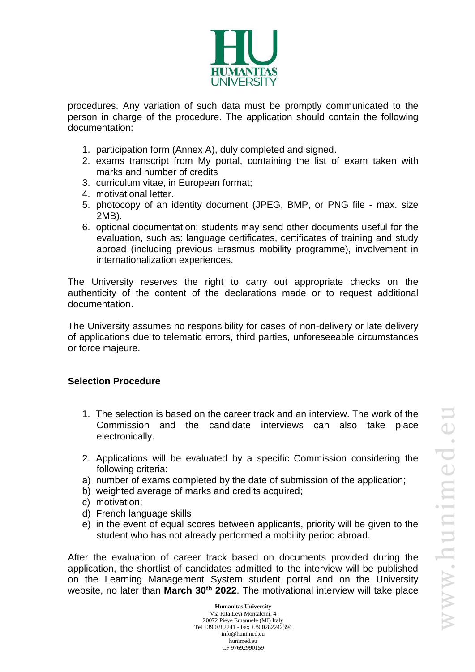

procedures. Any variation of such data must be promptly communicated to the person in charge of the procedure. The application should contain the following documentation:

- 1. participation form (Annex A), duly completed and signed.
- 2. exams transcript from My portal, containing the list of exam taken with marks and number of credits
- 3. curriculum vitae, in European format;
- 4. motivational letter.
- 5. photocopy of an identity document (JPEG, BMP, or PNG file max. size 2MB).
- 6. optional documentation: students may send other documents useful for the evaluation, such as: language certificates, certificates of training and study abroad (including previous Erasmus mobility programme), involvement in internationalization experiences.

The University reserves the right to carry out appropriate checks on the authenticity of the content of the declarations made or to request additional documentation.

The University assumes no responsibility for cases of non-delivery or late delivery of applications due to telematic errors, third parties, unforeseeable circumstances or force majeure.

#### **Selection Procedure**

- 1. The selection is based on the career track and an interview. The work of the Commission and the candidate interviews can also take place electronically.
- 2. Applications will be evaluated by a specific Commission considering the following criteria:
- a) number of exams completed by the date of submission of the application;
- b) weighted average of marks and credits acquired;
- c) motivation;
- d) French language skills
- e) in the event of equal scores between applicants, priority will be given to the student who has not already performed a mobility period abroad.

After the evaluation of career track based on documents provided during the application, the shortlist of candidates admitted to the interview will be published on the Learning Management System student portal and on the University website, no later than **March 30th 2022**. The motivational interview will take place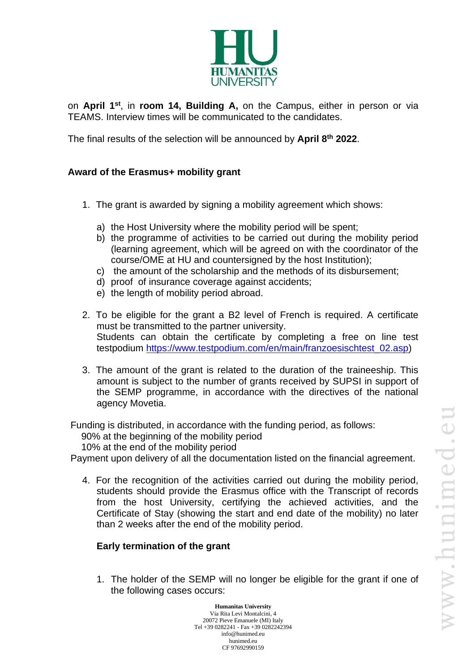

on **April 1 st** , in **room 14, Building A,** on the Campus, either in person or via TEAMS. Interview times will be communicated to the candidates.

The final results of the selection will be announced by **April 8 th 2022**.

### **Award of the Erasmus+ mobility grant**

- 1. The grant is awarded by signing a mobility agreement which shows:
	- a) the Host University where the mobility period will be spent;
	- b) the programme of activities to be carried out during the mobility period (learning agreement, which will be agreed on with the coordinator of the course/OME at HU and countersigned by the host Institution);
	- c) the amount of the scholarship and the methods of its disbursement;
	- d) proof of insurance coverage against accidents;
	- e) the length of mobility period abroad.
- 2. To be eligible for the grant a B2 level of French is required. A certificate must be transmitted to the partner university. Students can obtain the certificate by completing a free on line test testpodium [https://www.testpodium.com/en/main/franzoesischtest\\_02.asp\)](https://www.testpodium.com/en/main/franzoesischtest_02.asp)
- 3. The amount of the grant is related to the duration of the traineeship. This amount is subject to the number of grants received by SUPSI in support of the SEMP programme, in accordance with the directives of the national agency Movetia.

Funding is distributed, in accordance with the funding period, as follows:

90% at the beginning of the mobility period

10% at the end of the mobility period

Payment upon delivery of all the documentation listed on the financial agreement.

4. For the recognition of the activities carried out during the mobility period, students should provide the Erasmus office with the Transcript of records from the host University, certifying the achieved activities, and the Certificate of Stay (showing the start and end date of the mobility) no later than 2 weeks after the end of the mobility period.

#### **Early termination of the grant**

1. The holder of the SEMP will no longer be eligible for the grant if one of the following cases occurs: